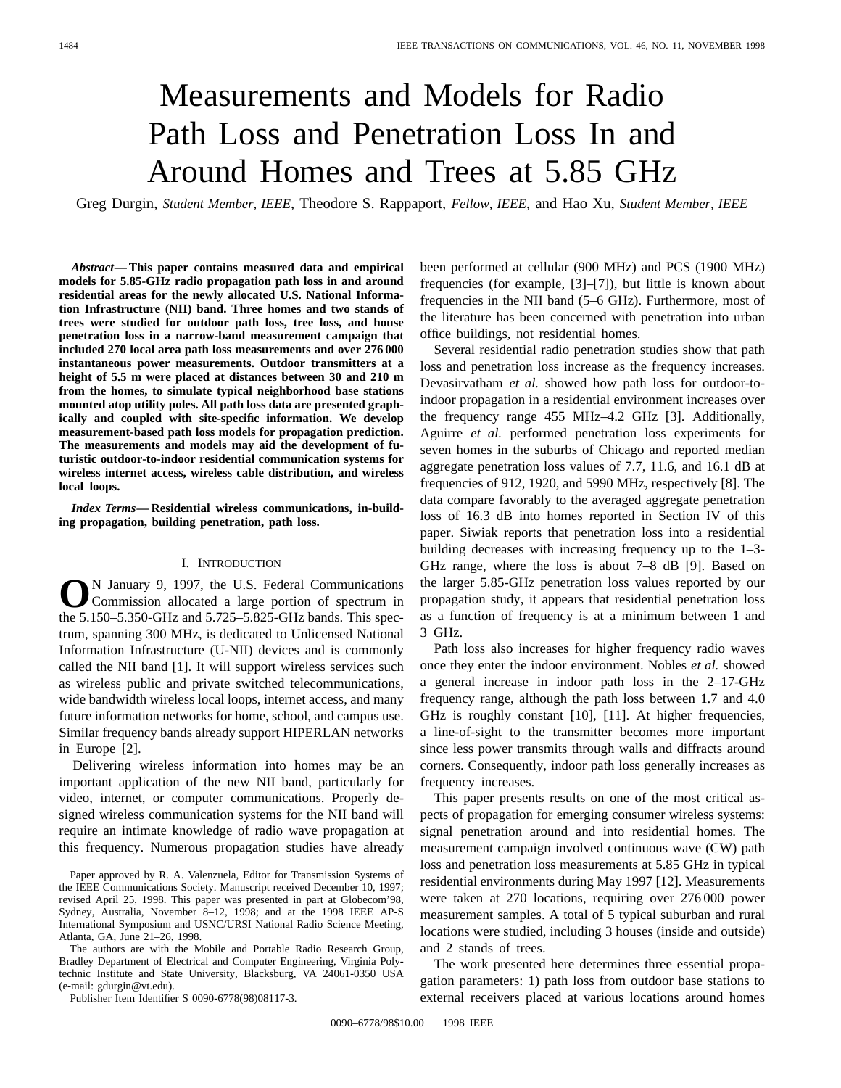# Measurements and Models for Radio Path Loss and Penetration Loss In and Around Homes and Trees at 5.85 GHz

Greg Durgin, *Student Member, IEEE*, Theodore S. Rappaport, *Fellow, IEEE*, and Hao Xu, *Student Member, IEEE*

*Abstract—***This paper contains measured data and empirical models for 5.85-GHz radio propagation path loss in and around residential areas for the newly allocated U.S. National Information Infrastructure (NII) band. Three homes and two stands of trees were studied for outdoor path loss, tree loss, and house penetration loss in a narrow-band measurement campaign that included 270 local area path loss measurements and over 276 000 instantaneous power measurements. Outdoor transmitters at a height of 5.5 m were placed at distances between 30 and 210 m from the homes, to simulate typical neighborhood base stations mounted atop utility poles. All path loss data are presented graphically and coupled with site-specific information. We develop measurement-based path loss models for propagation prediction. The measurements and models may aid the development of futuristic outdoor-to-indoor residential communication systems for wireless internet access, wireless cable distribution, and wireless local loops.**

*Index Terms—* **Residential wireless communications, in-building propagation, building penetration, path loss.**

## I. INTRODUCTION

**O**N January 9, 1997, the U.S. Federal Communications Commission allocated a large portion of spectrum in the 5.150–5.350-GHz and 5.725–5.825-GHz bands. This spectrum, spanning 300 MHz, is dedicated to Unlicensed National Information Infrastructure (U-NII) devices and is commonly called the NII band [1]. It will support wireless services such as wireless public and private switched telecommunications, wide bandwidth wireless local loops, internet access, and many future information networks for home, school, and campus use. Similar frequency bands already support HIPERLAN networks in Europe [2].

Delivering wireless information into homes may be an important application of the new NII band, particularly for video, internet, or computer communications. Properly designed wireless communication systems for the NII band will require an intimate knowledge of radio wave propagation at this frequency. Numerous propagation studies have already

Paper approved by R. A. Valenzuela, Editor for Transmission Systems of the IEEE Communications Society. Manuscript received December 10, 1997; revised April 25, 1998. This paper was presented in part at Globecom'98, Sydney, Australia, November 8–12, 1998; and at the 1998 IEEE AP-S International Symposium and USNC/URSI National Radio Science Meeting, Atlanta, GA, June 21–26, 1998.

The authors are with the Mobile and Portable Radio Research Group, Bradley Department of Electrical and Computer Engineering, Virginia Polytechnic Institute and State University, Blacksburg, VA 24061-0350 USA (e-mail: gdurgin@vt.edu).

Publisher Item Identifier S 0090-6778(98)08117-3.

been performed at cellular (900 MHz) and PCS (1900 MHz) frequencies (for example, [3]–[7]), but little is known about frequencies in the NII band (5–6 GHz). Furthermore, most of the literature has been concerned with penetration into urban office buildings, not residential homes.

Several residential radio penetration studies show that path loss and penetration loss increase as the frequency increases. Devasirvatham *et al.* showed how path loss for outdoor-toindoor propagation in a residential environment increases over the frequency range 455 MHz–4.2 GHz [3]. Additionally, Aguirre *et al.* performed penetration loss experiments for seven homes in the suburbs of Chicago and reported median aggregate penetration loss values of 7.7, 11.6, and 16.1 dB at frequencies of 912, 1920, and 5990 MHz, respectively [8]. The data compare favorably to the averaged aggregate penetration loss of 16.3 dB into homes reported in Section IV of this paper. Siwiak reports that penetration loss into a residential building decreases with increasing frequency up to the 1–3- GHz range, where the loss is about 7–8 dB [9]. Based on the larger 5.85-GHz penetration loss values reported by our propagation study, it appears that residential penetration loss as a function of frequency is at a minimum between 1 and 3 GHz.

Path loss also increases for higher frequency radio waves once they enter the indoor environment. Nobles *et al.* showed a general increase in indoor path loss in the 2–17-GHz frequency range, although the path loss between 1.7 and 4.0 GHz is roughly constant [10], [11]. At higher frequencies, a line-of-sight to the transmitter becomes more important since less power transmits through walls and diffracts around corners. Consequently, indoor path loss generally increases as frequency increases.

This paper presents results on one of the most critical aspects of propagation for emerging consumer wireless systems: signal penetration around and into residential homes. The measurement campaign involved continuous wave (CW) path loss and penetration loss measurements at 5.85 GHz in typical residential environments during May 1997 [12]. Measurements were taken at 270 locations, requiring over 276 000 power measurement samples. A total of 5 typical suburban and rural locations were studied, including 3 houses (inside and outside) and 2 stands of trees.

The work presented here determines three essential propagation parameters: 1) path loss from outdoor base stations to external receivers placed at various locations around homes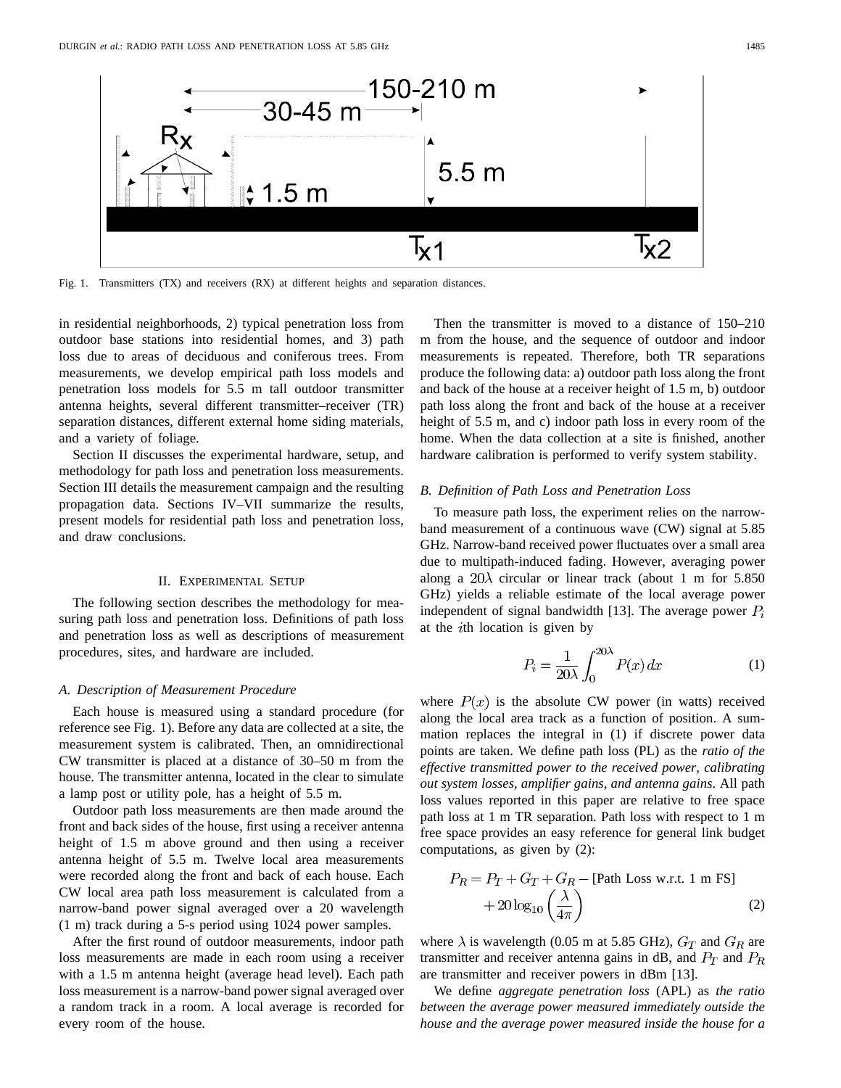

Fig. 1. Transmitters (TX) and receivers (RX) at different heights and separation distances.

in residential neighborhoods, 2) typical penetration loss from outdoor base stations into residential homes, and 3) path loss due to areas of deciduous and coniferous trees. From measurements, we develop empirical path loss models and penetration loss models for 5.5 m tall outdoor transmitter antenna heights, several different transmitter–receiver (TR) separation distances, different external home siding materials, and a variety of foliage.

Section II discusses the experimental hardware, setup, and methodology for path loss and penetration loss measurements. Section III details the measurement campaign and the resulting propagation data. Sections IV–VII summarize the results, present models for residential path loss and penetration loss, and draw conclusions.

#### II. EXPERIMENTAL SETUP

The following section describes the methodology for measuring path loss and penetration loss. Definitions of path loss and penetration loss as well as descriptions of measurement procedures, sites, and hardware are included.

#### *A. Description of Measurement Procedure*

Each house is measured using a standard procedure (for reference see Fig. 1). Before any data are collected at a site, the measurement system is calibrated. Then, an omnidirectional CW transmitter is placed at a distance of 30–50 m from the house. The transmitter antenna, located in the clear to simulate a lamp post or utility pole, has a height of 5.5 m.

Outdoor path loss measurements are then made around the front and back sides of the house, first using a receiver antenna height of 1.5 m above ground and then using a receiver antenna height of 5.5 m. Twelve local area measurements were recorded along the front and back of each house. Each CW local area path loss measurement is calculated from a narrow-band power signal averaged over a 20 wavelength (1 m) track during a 5-s period using 1024 power samples.

After the first round of outdoor measurements, indoor path loss measurements are made in each room using a receiver with a 1.5 m antenna height (average head level). Each path loss measurement is a narrow-band power signal averaged over a random track in a room. A local average is recorded for every room of the house.

Then the transmitter is moved to a distance of 150–210 m from the house, and the sequence of outdoor and indoor measurements is repeated. Therefore, both TR separations produce the following data: a) outdoor path loss along the front and back of the house at a receiver height of 1.5 m, b) outdoor path loss along the front and back of the house at a receiver height of 5.5 m, and c) indoor path loss in every room of the home. When the data collection at a site is finished, another hardware calibration is performed to verify system stability.

## *B. Definition of Path Loss and Penetration Loss*

To measure path loss, the experiment relies on the narrowband measurement of a continuous wave (CW) signal at 5.85 GHz. Narrow-band received power fluctuates over a small area due to multipath-induced fading. However, averaging power along a  $20\lambda$  circular or linear track (about 1 m for 5.850 GHz) yields a reliable estimate of the local average power independent of signal bandwidth [13]. The average power  $P_i$ at the  $i$ th location is given by

$$
P_i = \frac{1}{20\lambda} \int_0^{20\lambda} P(x) \, dx \tag{1}
$$

where  $P(x)$  is the absolute CW power (in watts) received along the local area track as a function of position. A summation replaces the integral in (1) if discrete power data points are taken. We define path loss (PL) as the *ratio of the effective transmitted power to the received power, calibrating out system losses, amplifier gains, and antenna gains*. All path loss values reported in this paper are relative to free space path loss at 1 m TR separation. Path loss with respect to 1 m free space provides an easy reference for general link budget computations, as given by (2):

$$
P_R = P_T + G_T + G_R - \text{[Path Loss w.r.t. 1 m FS]} + 20 \log_{10} \left(\frac{\lambda}{4\pi}\right) \tag{2}
$$

where  $\lambda$  is wavelength (0.05 m at 5.85 GHz),  $G_T$  and  $G_R$  are transmitter and receiver antenna gains in dB, and  $P_T$  and  $P_R$ are transmitter and receiver powers in dBm [13].

We define *aggregate penetration loss* (APL) as *the ratio between the average power measured immediately outside the house and the average power measured inside the house for a*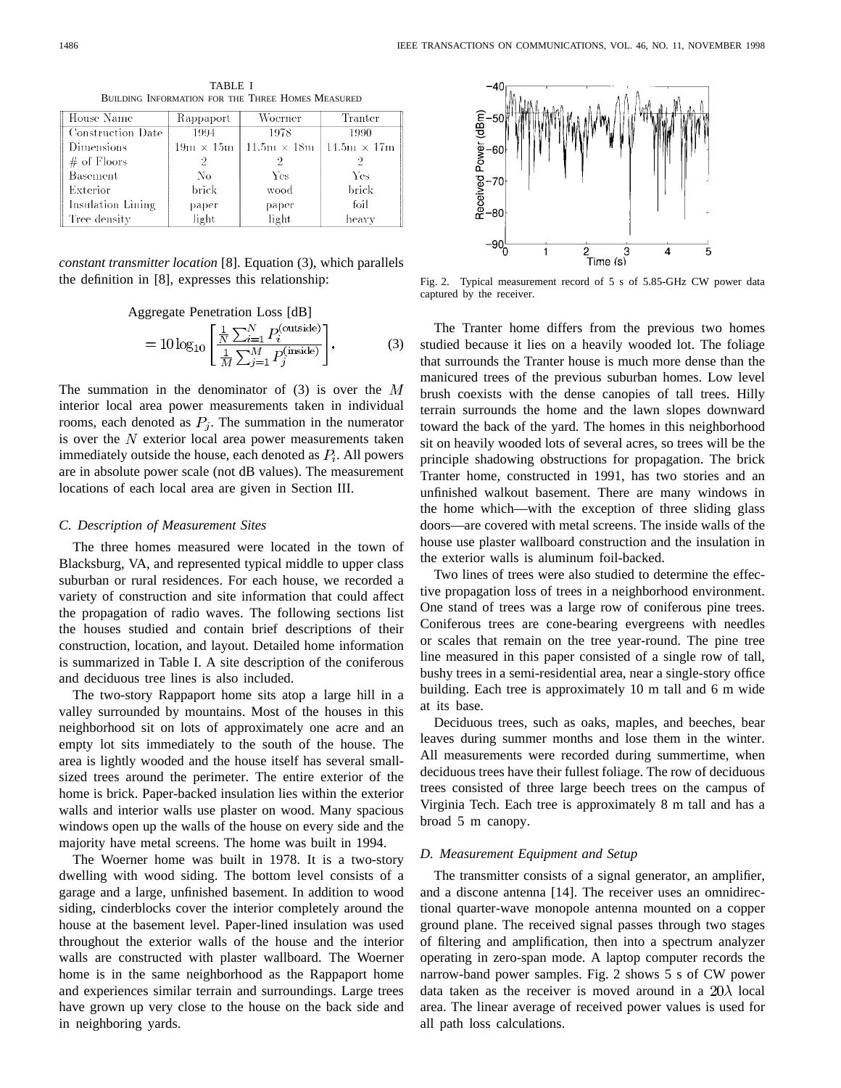| <b>BUILDING INFORMATION FOR THE THREE HOMES MEASURED</b> |           |                                                            |         |
|----------------------------------------------------------|-----------|------------------------------------------------------------|---------|
| House Name                                               | Rappaport | Woerner                                                    | Tranter |
| Construction Date                                        | 1994      | 1978                                                       | 1990    |
| Dimensions                                               |           | $19m \times 15m$   $11.5m \times 18m$   $14.5m \times 17m$ |         |
|                                                          |           |                                                            |         |

TABLE I

D. m  $#$  of Floors  $\overline{2}$  $\overline{2}$ 2 No Yes Yes **Basement** Exterior brick wood brick foil Insulation Lining paper paper Tree density light light heavy

*constant transmitter location* [8]. Equation (3), which parallels the definition in [8], expresses this relationship:

> Aggregate Penetration Loss [dB]  $\overline{C}$

$$
= 10 \log_{10} \left[ \frac{\frac{1}{N} \sum_{i=1}^{N} P_i^{(\text{outside})}}{\frac{1}{M} \sum_{j=1}^{M} P_j^{(\text{inside})}} \right].
$$
 (3)

The summation in the denominator of  $(3)$  is over the M interior local area power measurements taken in individual rooms, each denoted as  $P_i$ . The summation in the numerator is over the  $N$  exterior local area power measurements taken immediately outside the house, each denoted as  $P_i$ . All powers are in absolute power scale (not dB values). The measurement locations of each local area are given in Section III.

#### *C. Description of Measurement Sites*

The three homes measured were located in the town of Blacksburg, VA, and represented typical middle to upper class suburban or rural residences. For each house, we recorded a variety of construction and site information that could affect the propagation of radio waves. The following sections list the houses studied and contain brief descriptions of their construction, location, and layout. Detailed home information is summarized in Table I. A site description of the coniferous and deciduous tree lines is also included.

The two-story Rappaport home sits atop a large hill in a valley surrounded by mountains. Most of the houses in this neighborhood sit on lots of approximately one acre and an empty lot sits immediately to the south of the house. The area is lightly wooded and the house itself has several smallsized trees around the perimeter. The entire exterior of the home is brick. Paper-backed insulation lies within the exterior walls and interior walls use plaster on wood. Many spacious windows open up the walls of the house on every side and the majority have metal screens. The home was built in 1994.

The Woerner home was built in 1978. It is a two-story dwelling with wood siding. The bottom level consists of a garage and a large, unfinished basement. In addition to wood siding, cinderblocks cover the interior completely around the house at the basement level. Paper-lined insulation was used throughout the exterior walls of the house and the interior walls are constructed with plaster wallboard. The Woerner home is in the same neighborhood as the Rappaport home and experiences similar terrain and surroundings. Large trees have grown up very close to the house on the back side and in neighboring yards.



Fig. 2. Typical measurement record of 5 s of 5.85-GHz CW power data captured by the receiver.

The Tranter home differs from the previous two homes studied because it lies on a heavily wooded lot. The foliage that surrounds the Tranter house is much more dense than the manicured trees of the previous suburban homes. Low level brush coexists with the dense canopies of tall trees. Hilly terrain surrounds the home and the lawn slopes downward toward the back of the yard. The homes in this neighborhood sit on heavily wooded lots of several acres, so trees will be the principle shadowing obstructions for propagation. The brick Tranter home, constructed in 1991, has two stories and an unfinished walkout basement. There are many windows in the home which—with the exception of three sliding glass doors—are covered with metal screens. The inside walls of the house use plaster wallboard construction and the insulation in the exterior walls is aluminum foil-backed.

Two lines of trees were also studied to determine the effective propagation loss of trees in a neighborhood environment. One stand of trees was a large row of coniferous pine trees. Coniferous trees are cone-bearing evergreens with needles or scales that remain on the tree year-round. The pine tree line measured in this paper consisted of a single row of tall, bushy trees in a semi-residential area, near a single-story office building. Each tree is approximately 10 m tall and 6 m wide at its base.

Deciduous trees, such as oaks, maples, and beeches, bear leaves during summer months and lose them in the winter. All measurements were recorded during summertime, when deciduous trees have their fullest foliage. The row of deciduous trees consisted of three large beech trees on the campus of Virginia Tech. Each tree is approximately 8 m tall and has a broad 5 m canopy.

## *D. Measurement Equipment and Setup*

The transmitter consists of a signal generator, an amplifier, and a discone antenna [14]. The receiver uses an omnidirectional quarter-wave monopole antenna mounted on a copper ground plane. The received signal passes through two stages of filtering and amplification, then into a spectrum analyzer operating in zero-span mode. A laptop computer records the narrow-band power samples. Fig. 2 shows 5 s of CW power data taken as the receiver is moved around in a  $20\lambda$  local area. The linear average of received power values is used for all path loss calculations.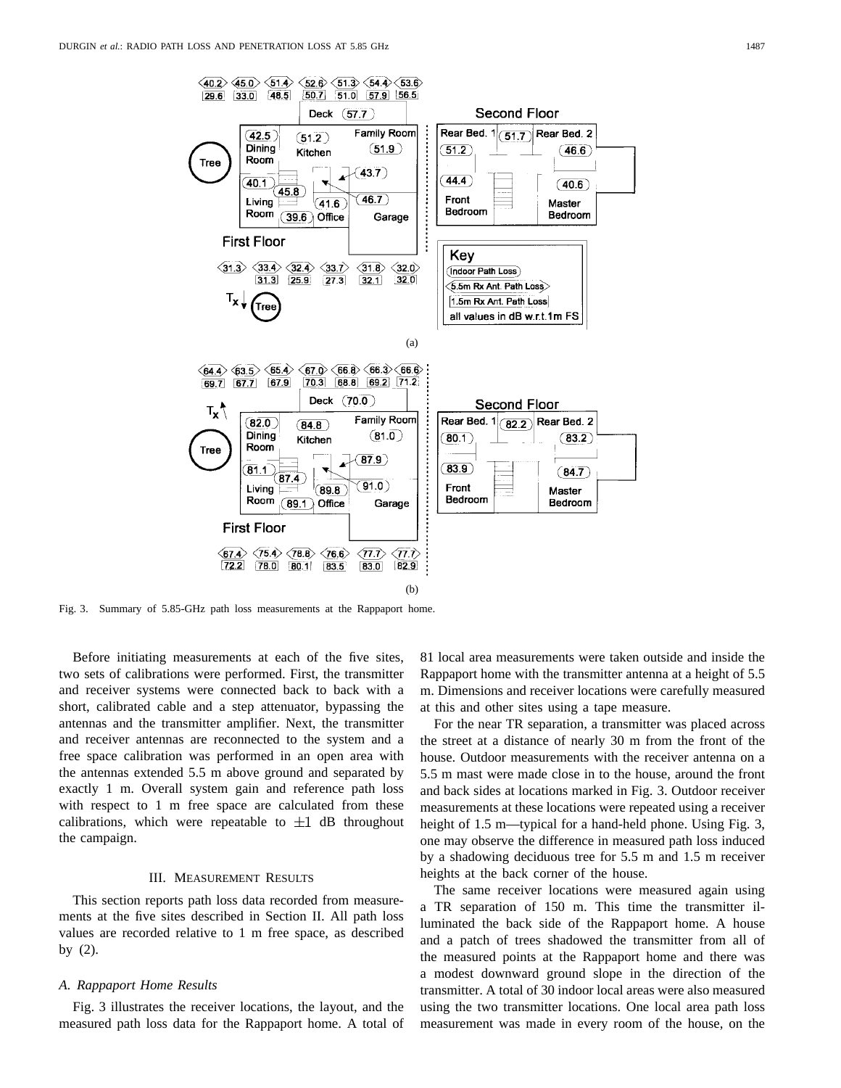

Fig. 3. Summary of 5.85-GHz path loss measurements at the Rappaport home.

Before initiating measurements at each of the five sites, two sets of calibrations were performed. First, the transmitter and receiver systems were connected back to back with a short, calibrated cable and a step attenuator, bypassing the antennas and the transmitter amplifier. Next, the transmitter and receiver antennas are reconnected to the system and a free space calibration was performed in an open area with the antennas extended 5.5 m above ground and separated by exactly 1 m. Overall system gain and reference path loss with respect to 1 m free space are calculated from these calibrations, which were repeatable to  $\pm 1$  dB throughout the campaign.

#### III. MEASUREMENT RESULTS

This section reports path loss data recorded from measurements at the five sites described in Section II. All path loss values are recorded relative to 1 m free space, as described by (2).

#### *A. Rappaport Home Results*

Fig. 3 illustrates the receiver locations, the layout, and the measured path loss data for the Rappaport home. A total of 81 local area measurements were taken outside and inside the Rappaport home with the transmitter antenna at a height of 5.5 m. Dimensions and receiver locations were carefully measured at this and other sites using a tape measure.

For the near TR separation, a transmitter was placed across the street at a distance of nearly 30 m from the front of the house. Outdoor measurements with the receiver antenna on a 5.5 m mast were made close in to the house, around the front and back sides at locations marked in Fig. 3. Outdoor receiver measurements at these locations were repeated using a receiver height of 1.5 m—typical for a hand-held phone. Using Fig. 3, one may observe the difference in measured path loss induced by a shadowing deciduous tree for 5.5 m and 1.5 m receiver heights at the back corner of the house.

The same receiver locations were measured again using a TR separation of 150 m. This time the transmitter illuminated the back side of the Rappaport home. A house and a patch of trees shadowed the transmitter from all of the measured points at the Rappaport home and there was a modest downward ground slope in the direction of the transmitter. A total of 30 indoor local areas were also measured using the two transmitter locations. One local area path loss measurement was made in every room of the house, on the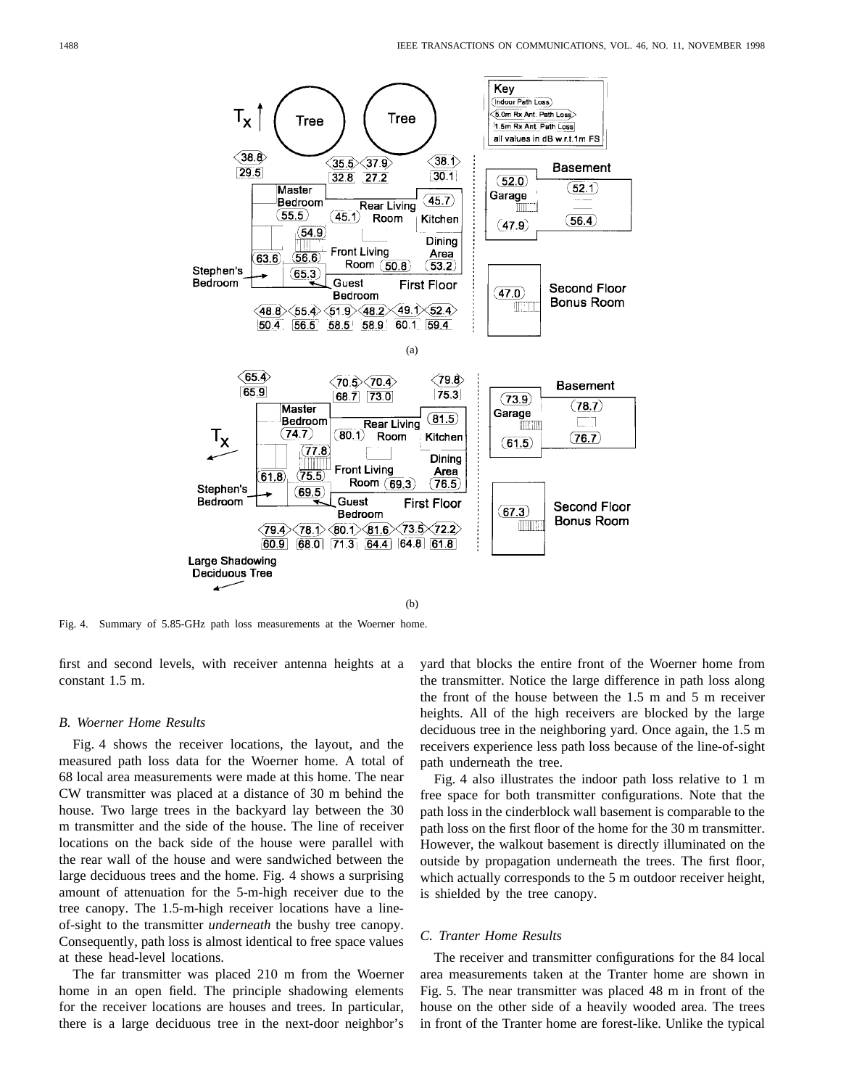

Fig. 4. Summary of 5.85-GHz path loss measurements at the Woerner home.

first and second levels, with receiver antenna heights at a constant 1.5 m.

#### *B. Woerner Home Results*

Fig. 4 shows the receiver locations, the layout, and the measured path loss data for the Woerner home. A total of 68 local area measurements were made at this home. The near CW transmitter was placed at a distance of 30 m behind the house. Two large trees in the backyard lay between the 30 m transmitter and the side of the house. The line of receiver locations on the back side of the house were parallel with the rear wall of the house and were sandwiched between the large deciduous trees and the home. Fig. 4 shows a surprising amount of attenuation for the 5-m-high receiver due to the tree canopy. The 1.5-m-high receiver locations have a lineof-sight to the transmitter *underneath* the bushy tree canopy. Consequently, path loss is almost identical to free space values at these head-level locations.

The far transmitter was placed 210 m from the Woerner home in an open field. The principle shadowing elements for the receiver locations are houses and trees. In particular, there is a large deciduous tree in the next-door neighbor's yard that blocks the entire front of the Woerner home from the transmitter. Notice the large difference in path loss along the front of the house between the 1.5 m and 5 m receiver heights. All of the high receivers are blocked by the large deciduous tree in the neighboring yard. Once again, the 1.5 m receivers experience less path loss because of the line-of-sight path underneath the tree.

Fig. 4 also illustrates the indoor path loss relative to 1 m free space for both transmitter configurations. Note that the path loss in the cinderblock wall basement is comparable to the path loss on the first floor of the home for the 30 m transmitter. However, the walkout basement is directly illuminated on the outside by propagation underneath the trees. The first floor, which actually corresponds to the 5 m outdoor receiver height, is shielded by the tree canopy.

# *C. Tranter Home Results*

The receiver and transmitter configurations for the 84 local area measurements taken at the Tranter home are shown in Fig. 5. The near transmitter was placed 48 m in front of the house on the other side of a heavily wooded area. The trees in front of the Tranter home are forest-like. Unlike the typical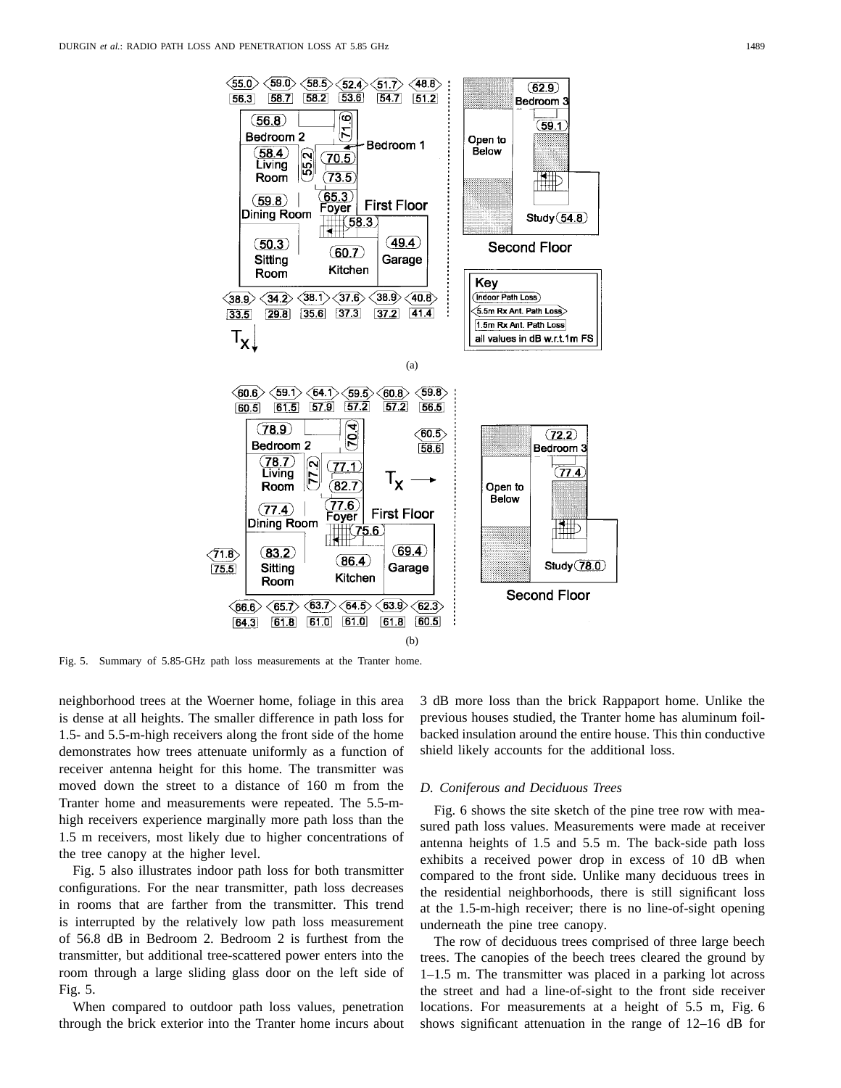

Fig. 5. Summary of 5.85-GHz path loss measurements at the Tranter home.

neighborhood trees at the Woerner home, foliage in this area is dense at all heights. The smaller difference in path loss for 1.5- and 5.5-m-high receivers along the front side of the home demonstrates how trees attenuate uniformly as a function of receiver antenna height for this home. The transmitter was moved down the street to a distance of 160 m from the Tranter home and measurements were repeated. The 5.5-mhigh receivers experience marginally more path loss than the 1.5 m receivers, most likely due to higher concentrations of the tree canopy at the higher level.

Fig. 5 also illustrates indoor path loss for both transmitter configurations. For the near transmitter, path loss decreases in rooms that are farther from the transmitter. This trend is interrupted by the relatively low path loss measurement of 56.8 dB in Bedroom 2. Bedroom 2 is furthest from the transmitter, but additional tree-scattered power enters into the room through a large sliding glass door on the left side of Fig. 5.

When compared to outdoor path loss values, penetration through the brick exterior into the Tranter home incurs about 3 dB more loss than the brick Rappaport home. Unlike the previous houses studied, the Tranter home has aluminum foilbacked insulation around the entire house. This thin conductive shield likely accounts for the additional loss.

#### *D. Coniferous and Deciduous Trees*

Fig. 6 shows the site sketch of the pine tree row with measured path loss values. Measurements were made at receiver antenna heights of 1.5 and 5.5 m. The back-side path loss exhibits a received power drop in excess of 10 dB when compared to the front side. Unlike many deciduous trees in the residential neighborhoods, there is still significant loss at the 1.5-m-high receiver; there is no line-of-sight opening underneath the pine tree canopy.

The row of deciduous trees comprised of three large beech trees. The canopies of the beech trees cleared the ground by 1–1.5 m. The transmitter was placed in a parking lot across the street and had a line-of-sight to the front side receiver locations. For measurements at a height of 5.5 m, Fig. 6 shows significant attenuation in the range of 12–16 dB for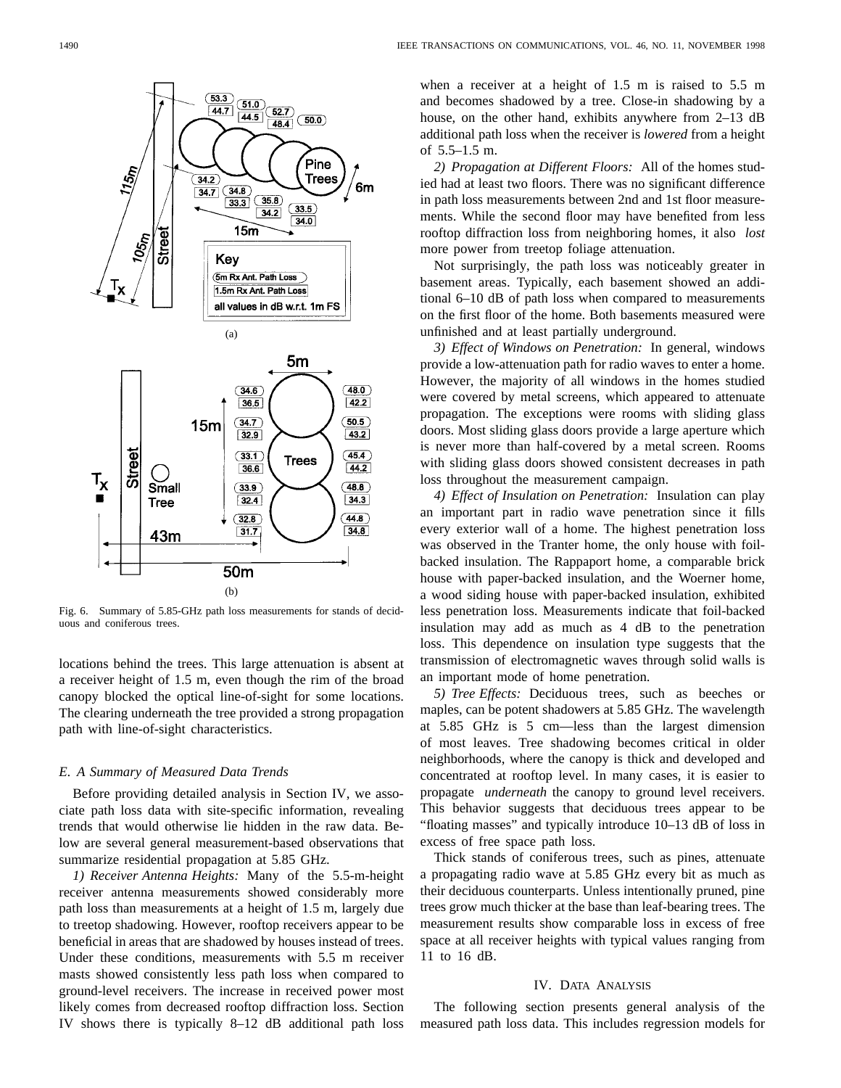

Fig. 6. Summary of 5.85-GHz path loss measurements for stands of deciduous and coniferous trees.

locations behind the trees. This large attenuation is absent at a receiver height of 1.5 m, even though the rim of the broad canopy blocked the optical line-of-sight for some locations. The clearing underneath the tree provided a strong propagation path with line-of-sight characteristics.

## *E. A Summary of Measured Data Trends*

Before providing detailed analysis in Section IV, we associate path loss data with site-specific information, revealing trends that would otherwise lie hidden in the raw data. Below are several general measurement-based observations that summarize residential propagation at 5.85 GHz.

*1) Receiver Antenna Heights:* Many of the 5.5-m-height receiver antenna measurements showed considerably more path loss than measurements at a height of 1.5 m, largely due to treetop shadowing. However, rooftop receivers appear to be beneficial in areas that are shadowed by houses instead of trees. Under these conditions, measurements with 5.5 m receiver masts showed consistently less path loss when compared to ground-level receivers. The increase in received power most likely comes from decreased rooftop diffraction loss. Section IV shows there is typically 8–12 dB additional path loss

when a receiver at a height of 1.5 m is raised to 5.5 m and becomes shadowed by a tree. Close-in shadowing by a house, on the other hand, exhibits anywhere from 2–13 dB additional path loss when the receiver is *lowered* from a height of 5.5–1.5 m.

*2) Propagation at Different Floors:* All of the homes studied had at least two floors. There was no significant difference in path loss measurements between 2nd and 1st floor measurements. While the second floor may have benefited from less rooftop diffraction loss from neighboring homes, it also *lost* more power from treetop foliage attenuation.

Not surprisingly, the path loss was noticeably greater in basement areas. Typically, each basement showed an additional 6–10 dB of path loss when compared to measurements on the first floor of the home. Both basements measured were unfinished and at least partially underground.

*3) Effect of Windows on Penetration:* In general, windows provide a low-attenuation path for radio waves to enter a home. However, the majority of all windows in the homes studied were covered by metal screens, which appeared to attenuate propagation. The exceptions were rooms with sliding glass doors. Most sliding glass doors provide a large aperture which is never more than half-covered by a metal screen. Rooms with sliding glass doors showed consistent decreases in path loss throughout the measurement campaign.

*4) Effect of Insulation on Penetration:* Insulation can play an important part in radio wave penetration since it fills every exterior wall of a home. The highest penetration loss was observed in the Tranter home, the only house with foilbacked insulation. The Rappaport home, a comparable brick house with paper-backed insulation, and the Woerner home, a wood siding house with paper-backed insulation, exhibited less penetration loss. Measurements indicate that foil-backed insulation may add as much as 4 dB to the penetration loss. This dependence on insulation type suggests that the transmission of electromagnetic waves through solid walls is an important mode of home penetration.

*5) Tree Effects:* Deciduous trees, such as beeches or maples, can be potent shadowers at 5.85 GHz. The wavelength at 5.85 GHz is 5 cm—less than the largest dimension of most leaves. Tree shadowing becomes critical in older neighborhoods, where the canopy is thick and developed and concentrated at rooftop level. In many cases, it is easier to propagate *underneath* the canopy to ground level receivers. This behavior suggests that deciduous trees appear to be "floating masses" and typically introduce 10–13 dB of loss in excess of free space path loss.

Thick stands of coniferous trees, such as pines, attenuate a propagating radio wave at 5.85 GHz every bit as much as their deciduous counterparts. Unless intentionally pruned, pine trees grow much thicker at the base than leaf-bearing trees. The measurement results show comparable loss in excess of free space at all receiver heights with typical values ranging from 11 to 16 dB.

#### IV. DATA ANALYSIS

The following section presents general analysis of the measured path loss data. This includes regression models for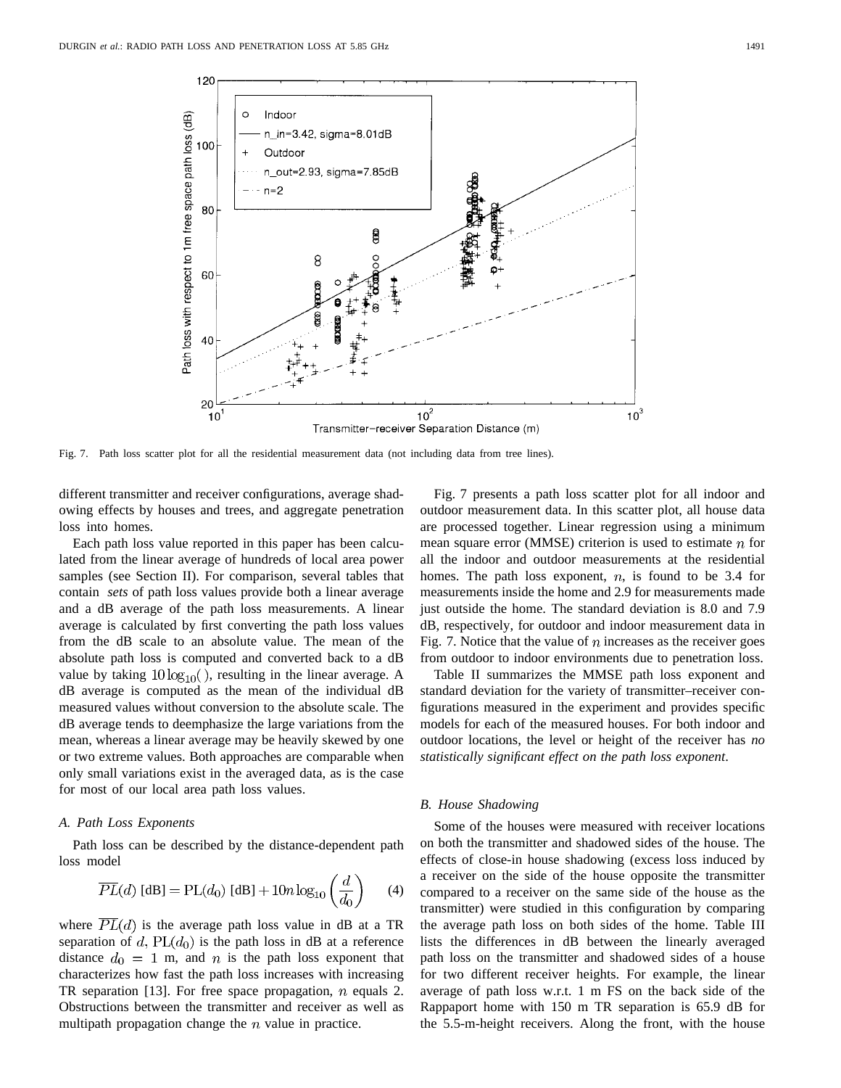

Fig. 7. Path loss scatter plot for all the residential measurement data (not including data from tree lines).

different transmitter and receiver configurations, average shadowing effects by houses and trees, and aggregate penetration loss into homes.

Each path loss value reported in this paper has been calculated from the linear average of hundreds of local area power samples (see Section II). For comparison, several tables that contain *sets* of path loss values provide both a linear average and a dB average of the path loss measurements. A linear average is calculated by first converting the path loss values from the dB scale to an absolute value. The mean of the absolute path loss is computed and converted back to a dB value by taking  $10\log_{10}$ (), resulting in the linear average. A dB average is computed as the mean of the individual dB measured values without conversion to the absolute scale. The dB average tends to deemphasize the large variations from the mean, whereas a linear average may be heavily skewed by one or two extreme values. Both approaches are comparable when only small variations exist in the averaged data, as is the case for most of our local area path loss values.

## *A. Path Loss Exponents*

Path loss can be described by the distance-dependent path loss model

$$
\overline{PL}(d) \text{ [dB]} = \text{PL}(d_0) \text{ [dB]} + 10n \log_{10} \left(\frac{d}{d_0}\right) \qquad (4)
$$

where  $\overline{PL}(d)$  is the average path loss value in dB at a TR separation of d,  $PL(d_0)$  is the path loss in dB at a reference distance  $d_0 = 1$  m, and n is the path loss exponent that characterizes how fast the path loss increases with increasing TR separation [13]. For free space propagation,  $n$  equals 2. Obstructions between the transmitter and receiver as well as multipath propagation change the  $n$  value in practice.

Fig. 7 presents a path loss scatter plot for all indoor and outdoor measurement data. In this scatter plot, all house data are processed together. Linear regression using a minimum mean square error (MMSE) criterion is used to estimate  $n$  for all the indoor and outdoor measurements at the residential homes. The path loss exponent,  $n$ , is found to be 3.4 for measurements inside the home and 2.9 for measurements made just outside the home. The standard deviation is 8.0 and 7.9 dB, respectively, for outdoor and indoor measurement data in Fig. 7. Notice that the value of  $n$  increases as the receiver goes from outdoor to indoor environments due to penetration loss.

Table II summarizes the MMSE path loss exponent and standard deviation for the variety of transmitter–receiver configurations measured in the experiment and provides specific models for each of the measured houses. For both indoor and outdoor locations, the level or height of the receiver has *no statistically significant effect on the path loss exponent*.

## *B. House Shadowing*

Some of the houses were measured with receiver locations on both the transmitter and shadowed sides of the house. The effects of close-in house shadowing (excess loss induced by a receiver on the side of the house opposite the transmitter compared to a receiver on the same side of the house as the transmitter) were studied in this configuration by comparing the average path loss on both sides of the home. Table III lists the differences in dB between the linearly averaged path loss on the transmitter and shadowed sides of a house for two different receiver heights. For example, the linear average of path loss w.r.t. 1 m FS on the back side of the Rappaport home with 150 m TR separation is 65.9 dB for the 5.5-m-height receivers. Along the front, with the house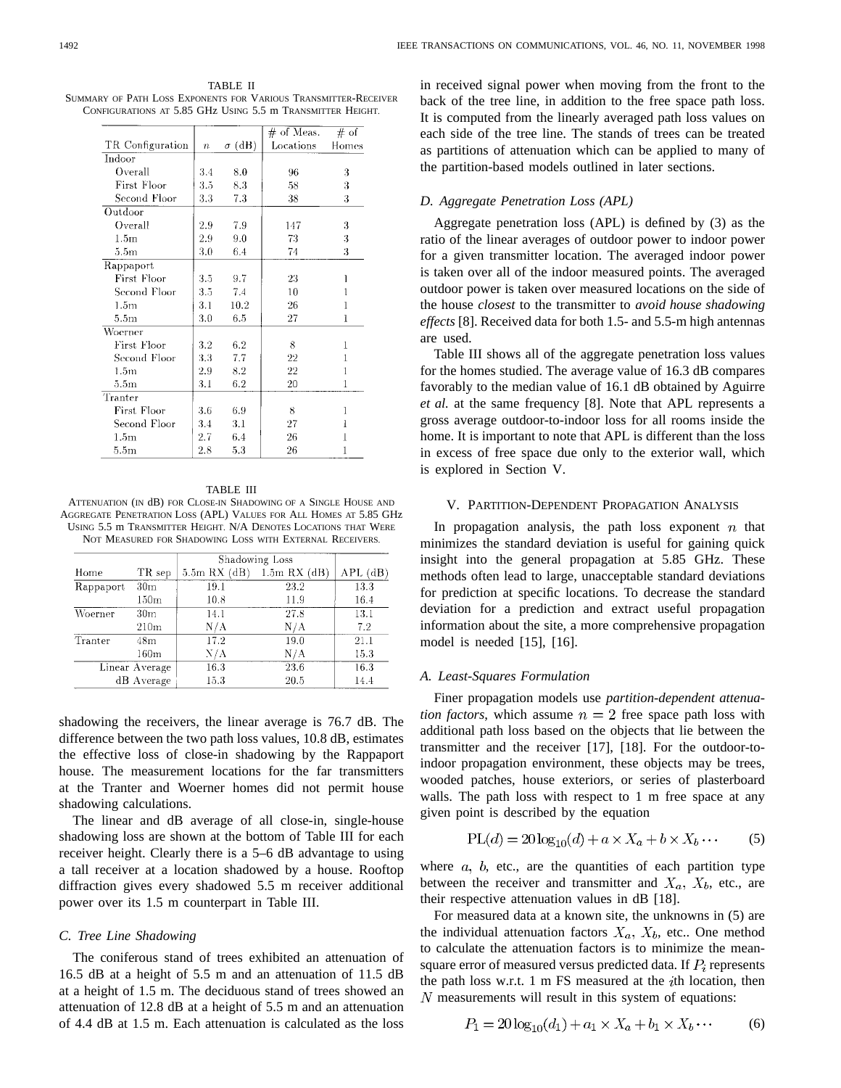TABLE II SUMMARY OF PATH LOSS EXPONENTS FOR VARIOUS TRANSMITTER-RECEIVER CONFIGURATIONS AT 5.85 GHz USING 5.5 m TRANSMITTER HEIGHT.

|                  |                  |               | $\#$ of Meas. | # of  |
|------------------|------------------|---------------|---------------|-------|
| TR Configuration | $\boldsymbol{n}$ | $\sigma$ (dB) | Locations     | Homes |
| Indoor           |                  |               |               |       |
| Overall          | 3.4              | 8.0           | 96            | 3     |
| First Floor      | 3.5              | 8.3           | 58            | 3     |
| Second Floor     | 3.3              | 7.3           | 38            | 3     |
| Outdoor          |                  |               |               |       |
| Overall          | 2.9              | 7.9           | 147           | 3     |
| 1.5 <sub>m</sub> | 2.9              | 9.0           | 73            | 3     |
| 5.5m             | 3.0              | 6.4           | 74            | 3     |
| Rappaport        |                  |               |               |       |
| First Floor      | 3.5              | 9.7           | 23            |       |
| Second Floor     | 3.5              | 7.4           | 10            |       |
| 1.5 <sub>m</sub> | 3.1              | 10.2          | 26            | 1     |
| 5.5 <sub>m</sub> | 3.0              | 6.5           | 27            | 1     |
| Woerner          |                  |               |               |       |
| First Floor      | 3.2              | 6.2           | 8             | 1     |
| Second Floor     | 3.3              | 7.7           | 22            | 1     |
| 1.5m             | 2.9              | $8.2\,$       | 22            | 1     |
| 5.5m             | 3.1              | 6.2           | $^{20}$       | 1     |
| Tranter          |                  |               |               |       |
| First Floor      | 3.6              | 6.9           | 8             | 1     |
| Second Floor     | 3.4              | 3.1           | 27            | ł     |
| 1.5 <sub>m</sub> | 2.7              | 6.4           | 26            | 1     |
| 5.5 <sub>m</sub> | 2.8              | 5.3           | 26            | 1     |

#### TABLE III

ATTENUATION (IN dB) FOR CLOSE-IN SHADOWING OF A SINGLE HOUSE AND AGGREGATE PENETRATION LOSS (APL) VALUES FOR ALL HOMES AT 5.85 GHz USING 5.5 m TRANSMITTER HEIGHT. N/A DENOTES LOCATIONS THAT WERE NOT MEASURED FOR SHADOWING LOSS WITH EXTERNAL RECEIVERS.

|           |                 | Shadowing Loss  |                  |            |
|-----------|-----------------|-----------------|------------------|------------|
| Home      | TR sep          | $5.5m$ RX $(d)$ | $1.5m$ RX $(dB)$ | $APL$ (dB) |
| Rappaport | 30 <sub>m</sub> | 19.1            | 23.2             | 13.3       |
|           | 150m            | 10.8            | 11.9             | 16.4       |
| Woerner   | 30 <sub>m</sub> | 14.1            | 27.8             | 13.1       |
|           | 210m            | N/A             | N/A              | 7.2        |
| Tranter   | 48m             | 17.2            | 19.0             | 21.1       |
|           | 160m            | $\rm N/A$       | N/A              | 15.3       |
|           | Linear Average  | 16.3            | 23.6             | 16.3       |
|           | dB Average      | 15.3            | 20.5             | 14.4       |

shadowing the receivers, the linear average is 76.7 dB. The difference between the two path loss values, 10.8 dB, estimates the effective loss of close-in shadowing by the Rappaport house. The measurement locations for the far transmitters at the Tranter and Woerner homes did not permit house shadowing calculations.

The linear and dB average of all close-in, single-house shadowing loss are shown at the bottom of Table III for each receiver height. Clearly there is a 5–6 dB advantage to using a tall receiver at a location shadowed by a house. Rooftop diffraction gives every shadowed 5.5 m receiver additional power over its 1.5 m counterpart in Table III.

## *C. Tree Line Shadowing*

The coniferous stand of trees exhibited an attenuation of 16.5 dB at a height of 5.5 m and an attenuation of 11.5 dB at a height of 1.5 m. The deciduous stand of trees showed an attenuation of 12.8 dB at a height of 5.5 m and an attenuation of 4.4 dB at 1.5 m. Each attenuation is calculated as the loss

in received signal power when moving from the front to the back of the tree line, in addition to the free space path loss. It is computed from the linearly averaged path loss values on each side of the tree line. The stands of trees can be treated as partitions of attenuation which can be applied to many of the partition-based models outlined in later sections.

#### *D. Aggregate Penetration Loss (APL)*

Aggregate penetration loss (APL) is defined by (3) as the ratio of the linear averages of outdoor power to indoor power for a given transmitter location. The averaged indoor power is taken over all of the indoor measured points. The averaged outdoor power is taken over measured locations on the side of the house *closest* to the transmitter to *avoid house shadowing effects* [8]. Received data for both 1.5- and 5.5-m high antennas are used.

Table III shows all of the aggregate penetration loss values for the homes studied. The average value of 16.3 dB compares favorably to the median value of 16.1 dB obtained by Aguirre *et al.* at the same frequency [8]. Note that APL represents a gross average outdoor-to-indoor loss for all rooms inside the home. It is important to note that APL is different than the loss in excess of free space due only to the exterior wall, which is explored in Section V.

## V. PARTITION-DEPENDENT PROPAGATION ANALYSIS

In propagation analysis, the path loss exponent  $n$  that minimizes the standard deviation is useful for gaining quick insight into the general propagation at 5.85 GHz. These methods often lead to large, unacceptable standard deviations for prediction at specific locations. To decrease the standard deviation for a prediction and extract useful propagation information about the site, a more comprehensive propagation model is needed [15], [16].

#### *A. Least-Squares Formulation*

Finer propagation models use *partition-dependent attenuation factors*, which assume  $n = 2$  free space path loss with additional path loss based on the objects that lie between the transmitter and the receiver [17], [18]. For the outdoor-toindoor propagation environment, these objects may be trees, wooded patches, house exteriors, or series of plasterboard walls. The path loss with respect to 1 m free space at any given point is described by the equation

$$
PL(d) = 20\log_{10}(d) + a \times X_a + b \times X_b \cdots
$$
 (5)

where  $a, b$ , etc., are the quantities of each partition type between the receiver and transmitter and  $X_a$ ,  $X_b$ , etc., are their respective attenuation values in dB [18].

For measured data at a known site, the unknowns in (5) are the individual attenuation factors  $X_a$ ,  $X_b$ , etc.. One method to calculate the attenuation factors is to minimize the meansquare error of measured versus predicted data. If  $P_i$  represents the path loss w.r.t. 1 m FS measured at the  $i$ th location, then  *measurements will result in this system of equations:* 

$$
P_1 = 20\log_{10}(d_1) + a_1 \times X_a + b_1 \times X_b \cdots
$$
 (6)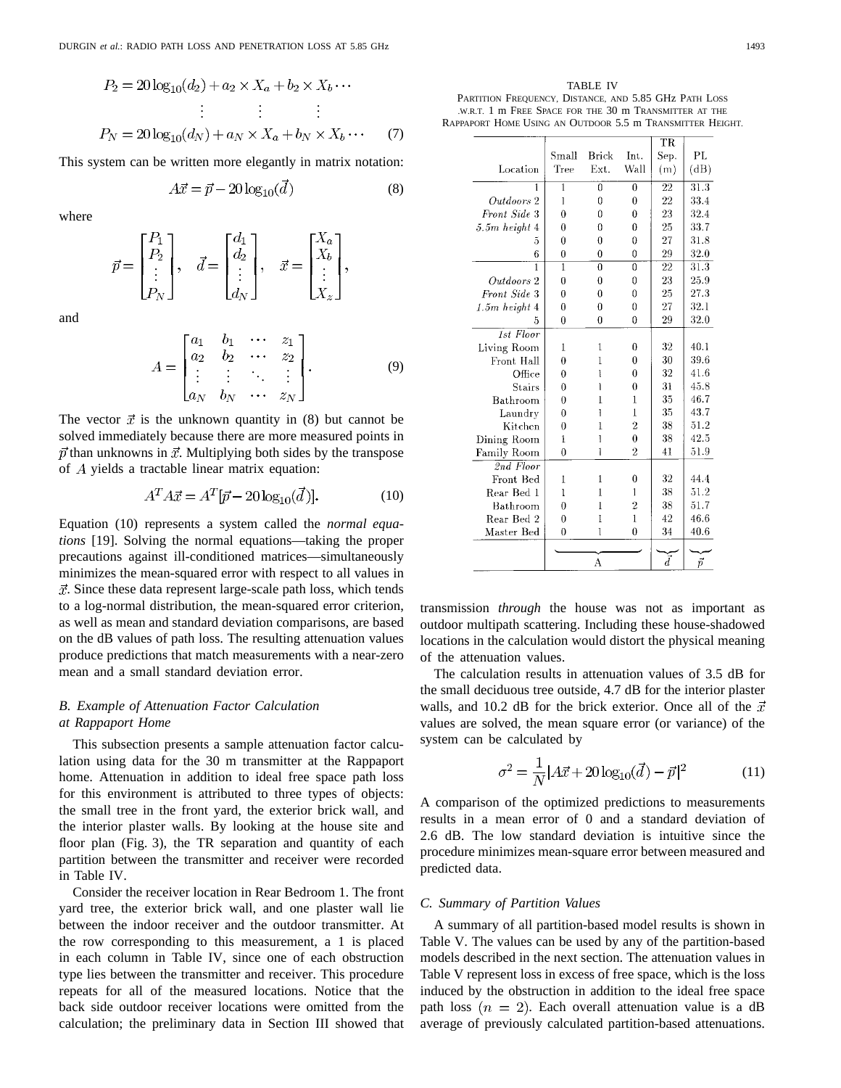$$
P_2 = 20\log_{10}(d_2) + a_2 \times X_a + b_2 \times X_b \cdots
$$
  
\n
$$
\vdots \qquad \vdots \qquad \vdots
$$
  
\n
$$
P_N = 20\log_{10}(d_N) + a_N \times X_a + b_N \times X_b \cdots \qquad (7)
$$

This system can be written more elegantly in matrix notation:

$$
4\vec{x} = \vec{p} - 20\log_{10}(d) \tag{8}
$$

where

$$
\vec{p} = \begin{bmatrix} P_1 \\ P_2 \\ \vdots \\ P_N \end{bmatrix}, \quad \vec{d} = \begin{bmatrix} d_1 \\ d_2 \\ \vdots \\ d_N \end{bmatrix}, \quad \vec{x} = \begin{bmatrix} X_a \\ X_b \\ \vdots \\ X_z \end{bmatrix},
$$

and

$$
A = \begin{bmatrix} a_1 & b_1 & \cdots & z_1 \\ a_2 & b_2 & \cdots & z_2 \\ \vdots & \vdots & \ddots & \vdots \\ a_N & b_N & \cdots & z_N \end{bmatrix} . \tag{9}
$$

The vector  $\vec{x}$  is the unknown quantity in (8) but cannot be solved immediately because there are more measured points in  $\vec{p}$  than unknowns in  $\vec{x}$ . Multiplying both sides by the transpose of  $A$  yields a tractable linear matrix equation:

$$
A^T A \vec{x} = A^T [\vec{p} - 20 \log_{10}(\vec{d})]. \tag{10}
$$

Equation (10) represents a system called the *normal equations* [19]. Solving the normal equations—taking the proper precautions against ill-conditioned matrices—simultaneously minimizes the mean-squared error with respect to all values in  $\vec{x}$ . Since these data represent large-scale path loss, which tends to a log-normal distribution, the mean-squared error criterion, as well as mean and standard deviation comparisons, are based on the dB values of path loss. The resulting attenuation values produce predictions that match measurements with a near-zero mean and a small standard deviation error.

## *B. Example of Attenuation Factor Calculation at Rappaport Home*

This subsection presents a sample attenuation factor calculation using data for the 30 m transmitter at the Rappaport home. Attenuation in addition to ideal free space path loss for this environment is attributed to three types of objects: the small tree in the front yard, the exterior brick wall, and the interior plaster walls. By looking at the house site and floor plan (Fig. 3), the TR separation and quantity of each partition between the transmitter and receiver were recorded in Table IV.

Consider the receiver location in Rear Bedroom 1. The front yard tree, the exterior brick wall, and one plaster wall lie between the indoor receiver and the outdoor transmitter. At the row corresponding to this measurement, a 1 is placed in each column in Table IV, since one of each obstruction type lies between the transmitter and receiver. This procedure repeats for all of the measured locations. Notice that the back side outdoor receiver locations were omitted from the calculation; the preliminary data in Section III showed that

TABLE IV PARTITION FREQUENCY, DISTANCE, AND 5.85 GHz PATH LOSS .W.R.T. 1mFREE SPACE FOR THE 30 m TRANSMITTER AT THE RAPPAPORT HOME USING AN OUTDOOR 5.5 m TRANSMITTER HEIGHT.

|                   | Small          | Brick          | Int.           | TR<br>Sep. | PL                |
|-------------------|----------------|----------------|----------------|------------|-------------------|
| Location          | Tree           | Ext.           | Wall           | (m)        | (dB)              |
| 1                 | $\overline{1}$ | $\overline{0}$ | $\overline{0}$ | 22         | $\overline{31.3}$ |
| Outdoors 2        | 1              | 0              | $\theta$       | 22         | 33.4              |
| Front Side 3      | 0              | O              | 0              | 23         | 32.4              |
| $5.5m$ height $4$ | 0              | 0              | 0              | 25         | 33.7              |
| 5                 | 0              | 0              | 0              | 27         | 31.8              |
| 6                 | 0              | 0              | 0              | 29         | 32.0              |
| 1                 | 1              | $\theta$       | 0              | 22         | 31.3              |
| Outdoors 2        | 0              | 0              | 0              | 23         | 25.9              |
| Front Side 3      | $\theta$       | 0              | 0              | 25         | 27.3              |
| $1.5m$ height $4$ | $\theta$       | $\Omega$       | 0              | 27         | 32.1              |
| 5                 | 0              | 0              | 0              | 29         | 32.0              |
| 1st Floor         |                |                |                |            |                   |
| Living Room       | 1              | 1              | 0              | 32         | 40.1              |
| Front Hall        | 0              | 1              | 0              | 30         | 39.6              |
| Office            | 0              | Ī              | 0              | 32         | 41.6              |
| Stairs            | $\Omega$       | 1              | 0              | 31         | 45.8              |
| Bathroom          | 0              | 1              | 1              | 35         | 46.7              |
| Laundry           | 0              | 1              | 1              | 35         | 43.7              |
| Kitchen           | $\theta$       | 1              | $\overline{2}$ | 38         | 51.2              |
| Dining Room       | 1              | 1              | $\theta$       | 38         | 42.5              |
| Family Room       | 0              | 1              | 2              | 41         | 51.9              |
| 2nd Floor         |                |                |                |            |                   |
| Front Bed         | ı              | 1              | 0              | 32         | 44.4              |
| Rear Bed 1        | 1              | 1              | 1              | 38         | 51.2              |
| Bathroom          | $\Omega$       | 1              | $\overline{2}$ | 38         | 51.7              |
| Rear Bed 2        | 0              | 1              | $\overline{1}$ | 42         | 46.6              |
| Master Bed        | $\mathbf{0}$   | 1              | 0              | 34         | 40.6              |
|                   |                |                |                |            |                   |
|                   |                | А              |                | $\vec{d}$  | ī                 |

transmission *through* the house was not as important as outdoor multipath scattering. Including these house-shadowed locations in the calculation would distort the physical meaning of the attenuation values.

The calculation results in attenuation values of 3.5 dB for the small deciduous tree outside, 4.7 dB for the interior plaster walls, and 10.2 dB for the brick exterior. Once all of the  $\vec{x}$ values are solved, the mean square error (or variance) of the system can be calculated by

$$
\sigma^2 = \frac{1}{N} |A\vec{x} + 20\log_{10}(\vec{d}) - \vec{p}|^2 \tag{11}
$$

A comparison of the optimized predictions to measurements results in a mean error of 0 and a standard deviation of 2.6 dB. The low standard deviation is intuitive since the procedure minimizes mean-square error between measured and predicted data.

#### *C. Summary of Partition Values*

A summary of all partition-based model results is shown in Table V. The values can be used by any of the partition-based models described in the next section. The attenuation values in Table V represent loss in excess of free space, which is the loss induced by the obstruction in addition to the ideal free space path loss  $(n = 2)$ . Each overall attenuation value is a dB average of previously calculated partition-based attenuations.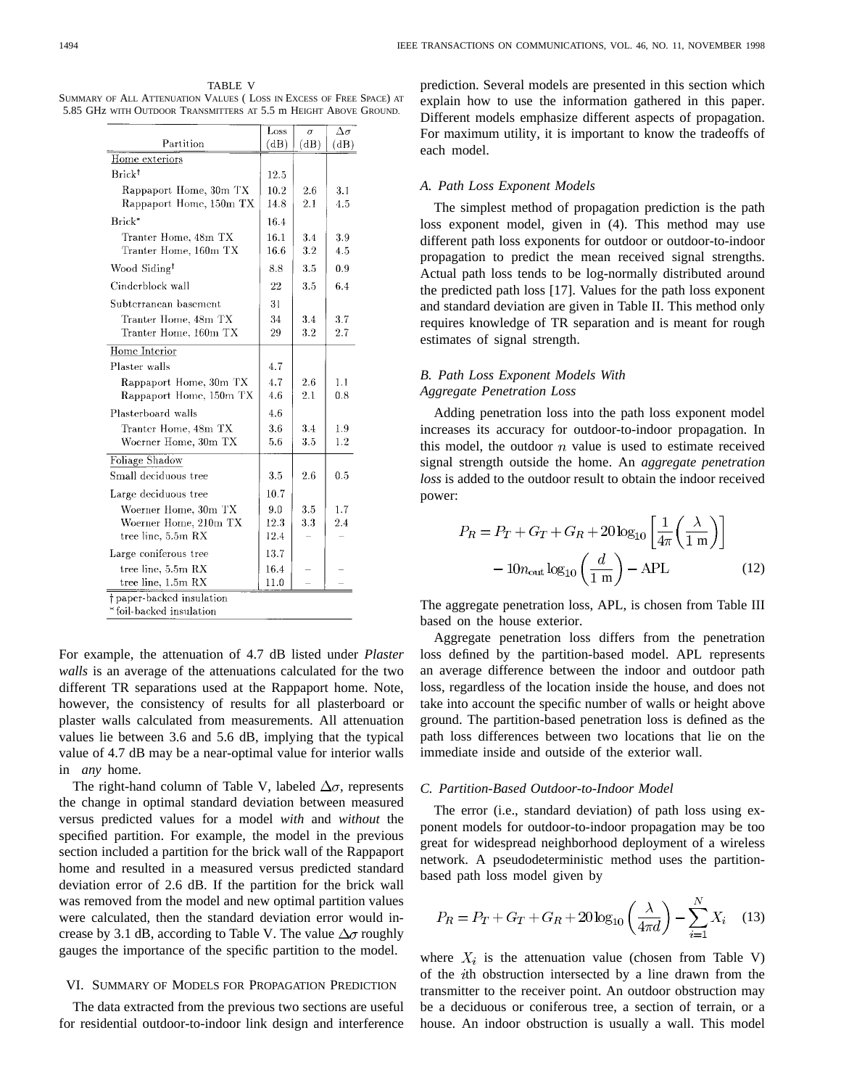TABLE V SUMMARY OF ALL ATTENUATION VALUES ( LOSS IN EXCESS OF FREE SPACE) AT 5.85 GHz WITH OUTDOOR TRANSMITTERS AT 5.5 m HEIGHT ABOVE GROUND.

| (dB)<br>12.5<br>10.2<br>14.8<br>16.4<br>16.1<br>16.6<br>8.8<br>22 | (dB)<br>2.6<br>2.1<br>34<br>3.2<br>3.5<br>3.5 | (dB)<br>3.1<br>4.5<br>3.9<br>4.5<br>0.9 |
|-------------------------------------------------------------------|-----------------------------------------------|-----------------------------------------|
|                                                                   |                                               |                                         |
|                                                                   |                                               |                                         |
|                                                                   |                                               |                                         |
|                                                                   |                                               |                                         |
|                                                                   |                                               |                                         |
|                                                                   |                                               |                                         |
|                                                                   |                                               |                                         |
|                                                                   |                                               |                                         |
|                                                                   |                                               |                                         |
|                                                                   |                                               | 6.4                                     |
| 31                                                                |                                               |                                         |
| 34                                                                | 3.4                                           | 3.7                                     |
| 29                                                                | 3.2                                           | 2.7                                     |
|                                                                   |                                               |                                         |
| 4.7                                                               |                                               |                                         |
| 4.7                                                               | 2.6                                           | 1.1                                     |
| 4.6                                                               | 2.1                                           | 0.8                                     |
| 4.6                                                               |                                               |                                         |
| 3.6                                                               | 3.4                                           | 1.9                                     |
| 5.6                                                               | 3.5                                           | 1.2                                     |
|                                                                   |                                               |                                         |
|                                                                   | 2.6                                           | 0.5                                     |
| 3.5                                                               |                                               |                                         |
| 10.7                                                              |                                               |                                         |
|                                                                   | 3.5                                           | 1.7                                     |
| 12.3                                                              | 3.3                                           | 2.4                                     |
| 12.4                                                              |                                               |                                         |
| 13.7                                                              |                                               |                                         |
| 16.4                                                              |                                               |                                         |
|                                                                   | 9.0                                           |                                         |

For example, the attenuation of 4.7 dB listed under *Plaster walls* is an average of the attenuations calculated for the two different TR separations used at the Rappaport home. Note, however, the consistency of results for all plasterboard or plaster walls calculated from measurements. All attenuation values lie between 3.6 and 5.6 dB, implying that the typical value of 4.7 dB may be a near-optimal value for interior walls in *any* home.

The right-hand column of Table V, labeled  $\Delta \sigma$ , represents the change in optimal standard deviation between measured versus predicted values for a model *with* and *without* the specified partition. For example, the model in the previous section included a partition for the brick wall of the Rappaport home and resulted in a measured versus predicted standard deviation error of 2.6 dB. If the partition for the brick wall was removed from the model and new optimal partition values were calculated, then the standard deviation error would increase by 3.1 dB, according to Table V. The value  $\Delta\sigma$  roughly gauges the importance of the specific partition to the model.

#### VI. SUMMARY OF MODELS FOR PROPAGATION PREDICTION

The data extracted from the previous two sections are useful for residential outdoor-to-indoor link design and interference prediction. Several models are presented in this section which explain how to use the information gathered in this paper. Different models emphasize different aspects of propagation. For maximum utility, it is important to know the tradeoffs of each model.

#### *A. Path Loss Exponent Models*

The simplest method of propagation prediction is the path loss exponent model, given in (4). This method may use different path loss exponents for outdoor or outdoor-to-indoor propagation to predict the mean received signal strengths. Actual path loss tends to be log-normally distributed around the predicted path loss [17]. Values for the path loss exponent and standard deviation are given in Table II. This method only requires knowledge of TR separation and is meant for rough estimates of signal strength.

## *B. Path Loss Exponent Models With Aggregate Penetration Loss*

Adding penetration loss into the path loss exponent model increases its accuracy for outdoor-to-indoor propagation. In this model, the outdoor  $n$  value is used to estimate received signal strength outside the home. An *aggregate penetration loss* is added to the outdoor result to obtain the indoor received power:

$$
P_R = P_T + G_T + G_R + 20 \log_{10} \left[ \frac{1}{4\pi} \left( \frac{\lambda}{1 \text{ m}} \right) \right]
$$

$$
- 10 n_{\text{out}} \log_{10} \left( \frac{d}{1 \text{ m}} \right) - APL \qquad (12)
$$

The aggregate penetration loss, APL, is chosen from Table III based on the house exterior.

Aggregate penetration loss differs from the penetration loss defined by the partition-based model. APL represents an average difference between the indoor and outdoor path loss, regardless of the location inside the house, and does not take into account the specific number of walls or height above ground. The partition-based penetration loss is defined as the path loss differences between two locations that lie on the immediate inside and outside of the exterior wall.

#### *C. Partition-Based Outdoor-to-Indoor Model*

The error (i.e., standard deviation) of path loss using exponent models for outdoor-to-indoor propagation may be too great for widespread neighborhood deployment of a wireless network. A pseudodeterministic method uses the partitionbased path loss model given by

$$
P_R = P_T + G_T + G_R + 20\log_{10}\left(\frac{\lambda}{4\pi d}\right) - \sum_{i=1}^{N} X_i \quad (13)
$$

where  $X_i$  is the attenuation value (chosen from Table V) of the  $i$ th obstruction intersected by a line drawn from the transmitter to the receiver point. An outdoor obstruction may be a deciduous or coniferous tree, a section of terrain, or a house. An indoor obstruction is usually a wall. This model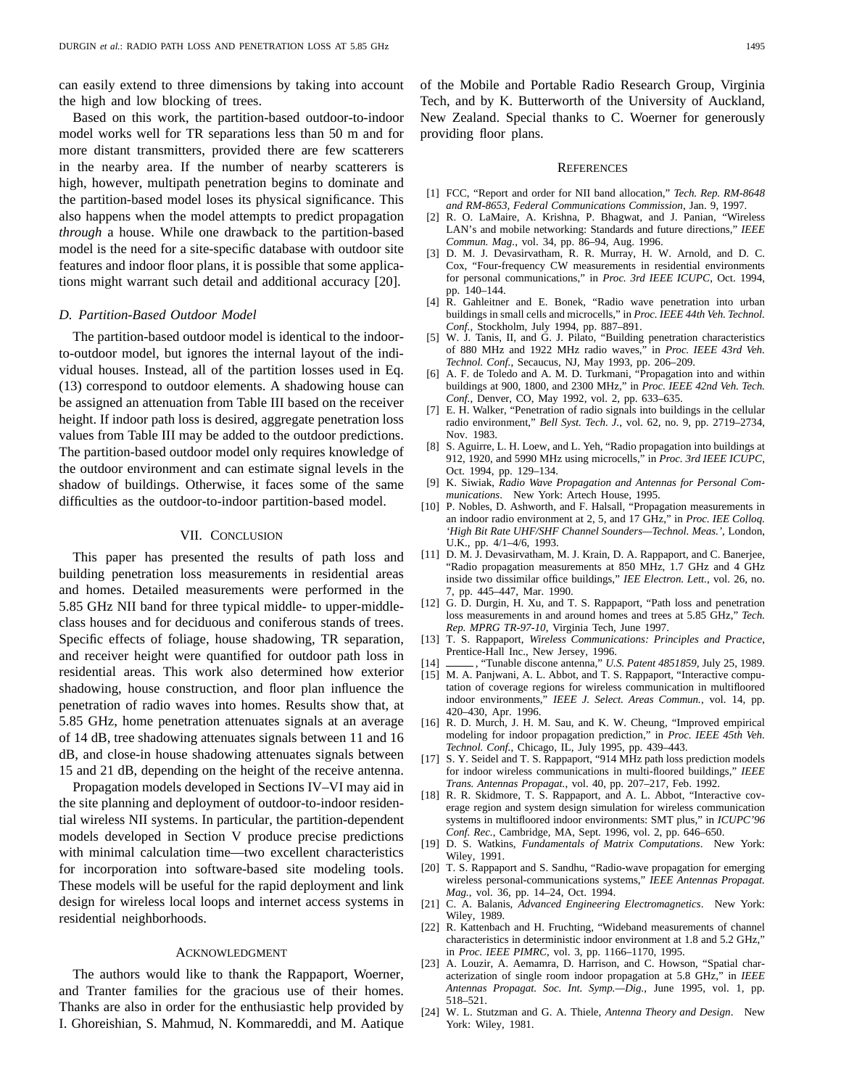can easily extend to three dimensions by taking into account the high and low blocking of trees.

Based on this work, the partition-based outdoor-to-indoor model works well for TR separations less than 50 m and for more distant transmitters, provided there are few scatterers in the nearby area. If the number of nearby scatterers is high, however, multipath penetration begins to dominate and the partition-based model loses its physical significance. This also happens when the model attempts to predict propagation *through* a house. While one drawback to the partition-based model is the need for a site-specific database with outdoor site features and indoor floor plans, it is possible that some applications might warrant such detail and additional accuracy [20].

## *D. Partition-Based Outdoor Model*

The partition-based outdoor model is identical to the indoorto-outdoor model, but ignores the internal layout of the individual houses. Instead, all of the partition losses used in Eq. (13) correspond to outdoor elements. A shadowing house can be assigned an attenuation from Table III based on the receiver height. If indoor path loss is desired, aggregate penetration loss values from Table III may be added to the outdoor predictions. The partition-based outdoor model only requires knowledge of the outdoor environment and can estimate signal levels in the shadow of buildings. Otherwise, it faces some of the same difficulties as the outdoor-to-indoor partition-based model.

## VII. CONCLUSION

This paper has presented the results of path loss and building penetration loss measurements in residential areas and homes. Detailed measurements were performed in the 5.85 GHz NII band for three typical middle- to upper-middleclass houses and for deciduous and coniferous stands of trees. Specific effects of foliage, house shadowing, TR separation, and receiver height were quantified for outdoor path loss in residential areas. This work also determined how exterior shadowing, house construction, and floor plan influence the penetration of radio waves into homes. Results show that, at 5.85 GHz, home penetration attenuates signals at an average of 14 dB, tree shadowing attenuates signals between 11 and 16 dB, and close-in house shadowing attenuates signals between 15 and 21 dB, depending on the height of the receive antenna.

Propagation models developed in Sections IV–VI may aid in the site planning and deployment of outdoor-to-indoor residential wireless NII systems. In particular, the partition-dependent models developed in Section V produce precise predictions with minimal calculation time—two excellent characteristics for incorporation into software-based site modeling tools. These models will be useful for the rapid deployment and link design for wireless local loops and internet access systems in residential neighborhoods.

#### ACKNOWLEDGMENT

The authors would like to thank the Rappaport, Woerner, and Tranter families for the gracious use of their homes. Thanks are also in order for the enthusiastic help provided by I. Ghoreishian, S. Mahmud, N. Kommareddi, and M. Aatique of the Mobile and Portable Radio Research Group, Virginia Tech, and by K. Butterworth of the University of Auckland, New Zealand. Special thanks to C. Woerner for generously providing floor plans.

#### **REFERENCES**

- [1] FCC, "Report and order for NII band allocation," *Tech. Rep. RM-8648 and RM-8653, Federal Communications Commission*, Jan. 9, 1997.
- [2] R. O. LaMaire, A. Krishna, P. Bhagwat, and J. Panian, "Wireless LAN's and mobile networking: Standards and future directions," *IEEE Commun. Mag.*, vol. 34, pp. 86–94, Aug. 1996.
- [3] D. M. J. Devasirvatham, R. R. Murray, H. W. Arnold, and D. C. Cox, "Four-frequency CW measurements in residential environments for personal communications," in *Proc. 3rd IEEE ICUPC*, Oct. 1994, pp. 140–144.
- [4] R. Gahleitner and E. Bonek, "Radio wave penetration into urban buildings in small cells and microcells," in *Proc. IEEE 44th Veh. Technol. Conf.*, Stockholm, July 1994, pp. 887–891.
- [5] W. J. Tanis, II, and G. J. Pilato, "Building penetration characteristics of 880 MHz and 1922 MHz radio waves," in *Proc. IEEE 43rd Veh. Technol. Conf.*, Secaucus, NJ, May 1993, pp. 206–209.
- [6] A. F. de Toledo and A. M. D. Turkmani, "Propagation into and within buildings at 900, 1800, and 2300 MHz," in *Proc. IEEE 42nd Veh. Tech. Conf.*, Denver, CO, May 1992, vol. 2, pp. 633–635.
- [7] E. H. Walker, "Penetration of radio signals into buildings in the cellular radio environment," *Bell Syst. Tech. J.*, vol. 62, no. 9, pp. 2719–2734, Nov. 1983.
- [8] S. Aguirre, L. H. Loew, and L. Yeh, "Radio propagation into buildings at 912, 1920, and 5990 MHz using microcells," in *Proc. 3rd IEEE ICUPC*, Oct. 1994, pp. 129–134.
- [9] K. Siwiak, *Radio Wave Propagation and Antennas for Personal Communications*. New York: Artech House, 1995.
- [10] P. Nobles, D. Ashworth, and F. Halsall, "Propagation measurements in an indoor radio environment at 2, 5, and 17 GHz," in *Proc. IEE Colloq. 'High Bit Rate UHF/SHF Channel Sounders—Technol. Meas.'*, London, U.K., pp. 4/1–4/6, 1993.
- [11] D. M. J. Devasirvatham, M. J. Krain, D. A. Rappaport, and C. Banerjee, "Radio propagation measurements at 850 MHz, 1.7 GHz and 4 GHz inside two dissimilar office buildings," *IEE Electron. Lett.*, vol. 26, no. 7, pp. 445–447, Mar. 1990.
- [12] G. D. Durgin, H. Xu, and T. S. Rappaport, "Path loss and penetration loss measurements in and around homes and trees at 5.85 GHz," *Tech. Rep. MPRG TR-97-10*, Virginia Tech, June 1997.
- [13] T. S. Rappaport, *Wireless Communications: Principles and Practice*, Prentice-Hall Inc., New Jersey, 1996.
- [14] , "Tunable discone antenna," *U.S. Patent 4851859*, July 25, 1989. [15] M. A. Panjwani, A. L. Abbot, and T. S. Rappaport, "Interactive computation of coverage regions for wireless communication in multifloored indoor environments," *IEEE J. Select. Areas Commun.*, vol. 14, pp. 420–430, Apr. 1996.
- [16] R. D. Murch, J. H. M. Sau, and K. W. Cheung, "Improved empirical modeling for indoor propagation prediction," in *Proc. IEEE 45th Veh. Technol. Conf.*, Chicago, IL, July 1995, pp. 439–443.
- [17] S. Y. Seidel and T. S. Rappaport, "914 MHz path loss prediction models for indoor wireless communications in multi-floored buildings," *IEEE Trans. Antennas Propagat.*, vol. 40, pp. 207–217, Feb. 1992.
- [18] R. R. Skidmore, T. S. Rappaport, and A. L. Abbot, "Interactive coverage region and system design simulation for wireless communication systems in multifloored indoor environments: SMT plus," in *ICUPC'96 Conf. Rec.*, Cambridge, MA, Sept. 1996, vol. 2, pp. 646–650.
- [19] D. S. Watkins, *Fundamentals of Matrix Computations*. New York: Wiley, 1991.
- [20] T. S. Rappaport and S. Sandhu, "Radio-wave propagation for emerging wireless personal-communications systems," *IEEE Antennas Propagat. Mag.*, vol. 36, pp. 14–24, Oct. 1994.
- [21] C. A. Balanis, *Advanced Engineering Electromagnetics*. New York: Wiley, 1989.
- [22] R. Kattenbach and H. Fruchting, "Wideband measurements of channel characteristics in deterministic indoor environment at 1.8 and 5.2 GHz," in *Proc. IEEE PIMRC*, vol. 3, pp. 1166–1170, 1995.
- [23] A. Louzir, A. Aemamra, D. Harrison, and C. Howson, "Spatial characterization of single room indoor propagation at 5.8 GHz," in *IEEE Antennas Propagat. Soc. Int. Symp.—Dig.*, June 1995, vol. 1, pp. 518–521.
- [24] W. L. Stutzman and G. A. Thiele, *Antenna Theory and Design*. New York: Wiley, 1981.